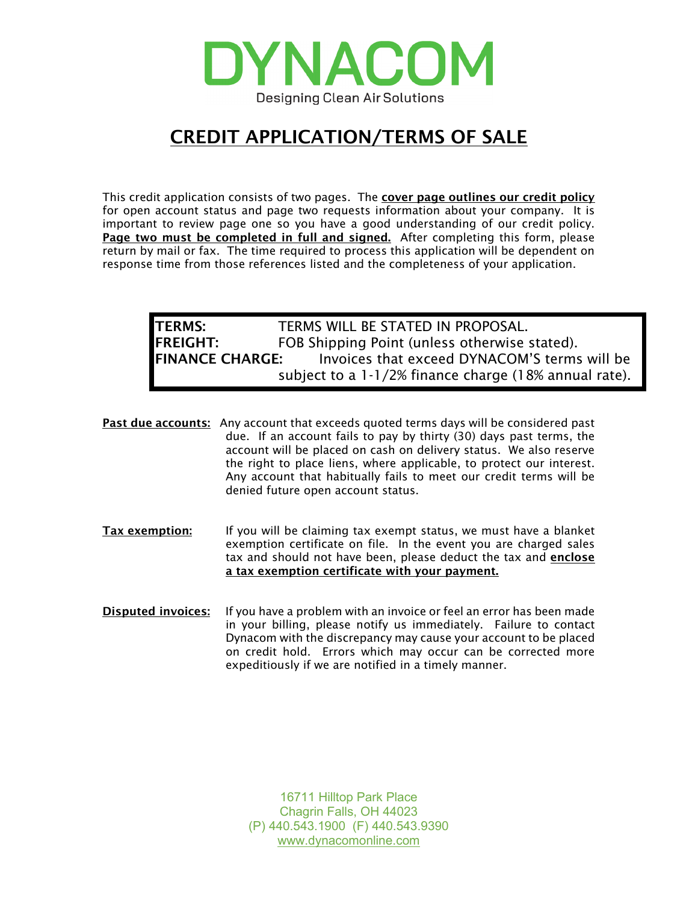

## CREDIT APPLICATION/TERMS OF SALE

This credit application consists of two pages. The cover page outlines our credit policy for open account status and page two requests information about your company. It is important to review page one so you have a good understanding of our credit policy. Page two must be completed in full and signed. After completing this form, please return by mail or fax. The time required to process this application will be dependent on response time from those references listed and the completeness of your application.

## TERMS: TERMS WILL BE STATED IN PROPOSAL. FREIGHT: FOB Shipping Point (unless otherwise stated). FINANCE CHARGE: Invoices that exceed DYNACOM'S terms will be subject to a 1-1/2% finance charge (18% annual rate).

**Past due accounts:** Any account that exceeds quoted terms days will be considered past due. If an account fails to pay by thirty (30) days past terms, the account will be placed on cash on delivery status. We also reserve the right to place liens, where applicable, to protect our interest. Any account that habitually fails to meet our credit terms will be denied future open account status.

- Tax exemption: If you will be claiming tax exempt status, we must have a blanket exemption certificate on file. In the event you are charged sales tax and should not have been, please deduct the tax and enclose a tax exemption certificate with your payment.
- Disputed invoices: If you have a problem with an invoice or feel an error has been made in your billing, please notify us immediately. Failure to contact Dynacom with the discrepancy may cause your account to be placed on credit hold. Errors which may occur can be corrected more expeditiously if we are notified in a timely manner.

16711 Hilltop Park Place Chagrin Falls, OH 44023 (P) 440.543.1900 (F) 440.543.9390 [www.dynacomonline.com](http://www.dynacomonline.com/)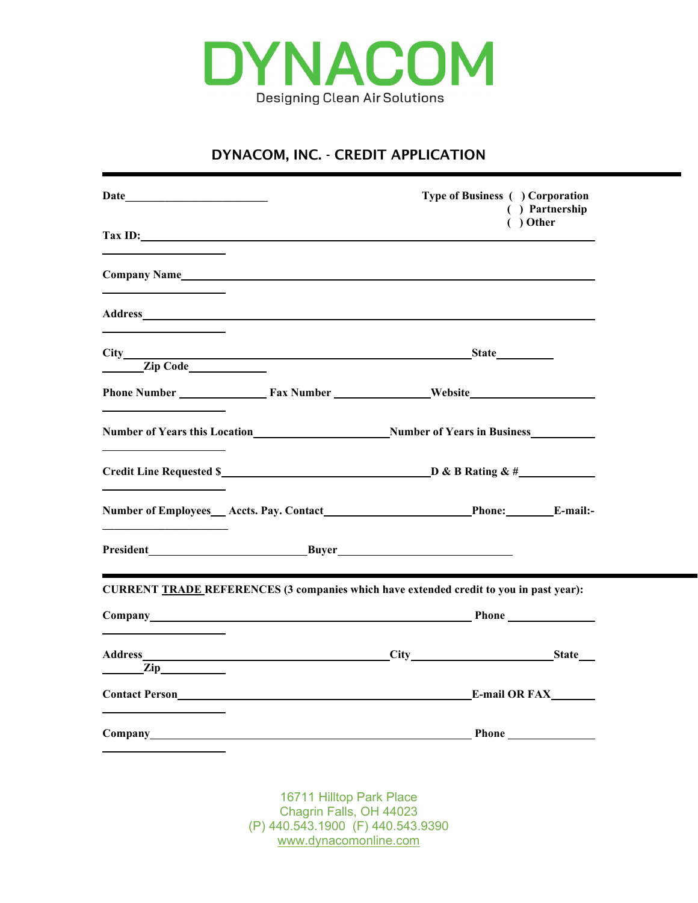

## DYNACOM, INC. - CREDIT APPLICATION

|                                                                                                                                                                                                                                                                                                                                                                      |                                                                                          | Type of Business ( ) Corporation | ( ) Partnership |
|----------------------------------------------------------------------------------------------------------------------------------------------------------------------------------------------------------------------------------------------------------------------------------------------------------------------------------------------------------------------|------------------------------------------------------------------------------------------|----------------------------------|-----------------|
| $\text{Tax ID:}\n \overline{\phantom{a}}$                                                                                                                                                                                                                                                                                                                            |                                                                                          |                                  | $( )$ Other     |
|                                                                                                                                                                                                                                                                                                                                                                      |                                                                                          |                                  |                 |
|                                                                                                                                                                                                                                                                                                                                                                      |                                                                                          |                                  |                 |
| $\frac{1}{\sqrt{2}}$ $\frac{1}{\sqrt{2}}$ $\frac{1}{\sqrt{2}}$ $\frac{1}{\sqrt{2}}$ $\frac{1}{\sqrt{2}}$ $\frac{1}{\sqrt{2}}$ $\frac{1}{\sqrt{2}}$ $\frac{1}{\sqrt{2}}$ $\frac{1}{\sqrt{2}}$ $\frac{1}{\sqrt{2}}$ $\frac{1}{\sqrt{2}}$ $\frac{1}{\sqrt{2}}$ $\frac{1}{\sqrt{2}}$ $\frac{1}{\sqrt{2}}$ $\frac{1}{\sqrt{2}}$ $\frac{1}{\sqrt{2}}$ $\frac{1}{\sqrt{2}}$ |                                                                                          |                                  |                 |
|                                                                                                                                                                                                                                                                                                                                                                      |                                                                                          |                                  |                 |
| <u> 1980 - Johann Barn, fransk politik (d. 19</u>                                                                                                                                                                                                                                                                                                                    |                                                                                          |                                  |                 |
| Credit Line Requested \$                                                                                                                                                                                                                                                                                                                                             |                                                                                          |                                  |                 |
| <u> 1989 - Johann Barn, fransk politik (d. 1989)</u>                                                                                                                                                                                                                                                                                                                 |                                                                                          |                                  |                 |
| <u> 1989 - Johann Stein, Amerikaansk politiker (</u>                                                                                                                                                                                                                                                                                                                 |                                                                                          |                                  |                 |
| <b>CURRENT TRADE REFERENCES (3 companies which have extended credit to you in past year):</b>                                                                                                                                                                                                                                                                        |                                                                                          |                                  |                 |
|                                                                                                                                                                                                                                                                                                                                                                      |                                                                                          |                                  |                 |
|                                                                                                                                                                                                                                                                                                                                                                      |                                                                                          |                                  |                 |
| $\mathbf{Zip}\_\mathbf{1}$<br><b>Contact Person</b>                                                                                                                                                                                                                                                                                                                  |                                                                                          | <b>E-mail OR FAX</b>             |                 |
|                                                                                                                                                                                                                                                                                                                                                                      |                                                                                          |                                  |                 |
|                                                                                                                                                                                                                                                                                                                                                                      |                                                                                          |                                  |                 |
|                                                                                                                                                                                                                                                                                                                                                                      | 16711 Hilltop Park Place<br>Chagrin Falls, OH 44023<br>(P) 440.543.1900 (F) 440.543.9390 |                                  |                 |

[www.dynacomonline.com](http://www.dynacomonline.com/)